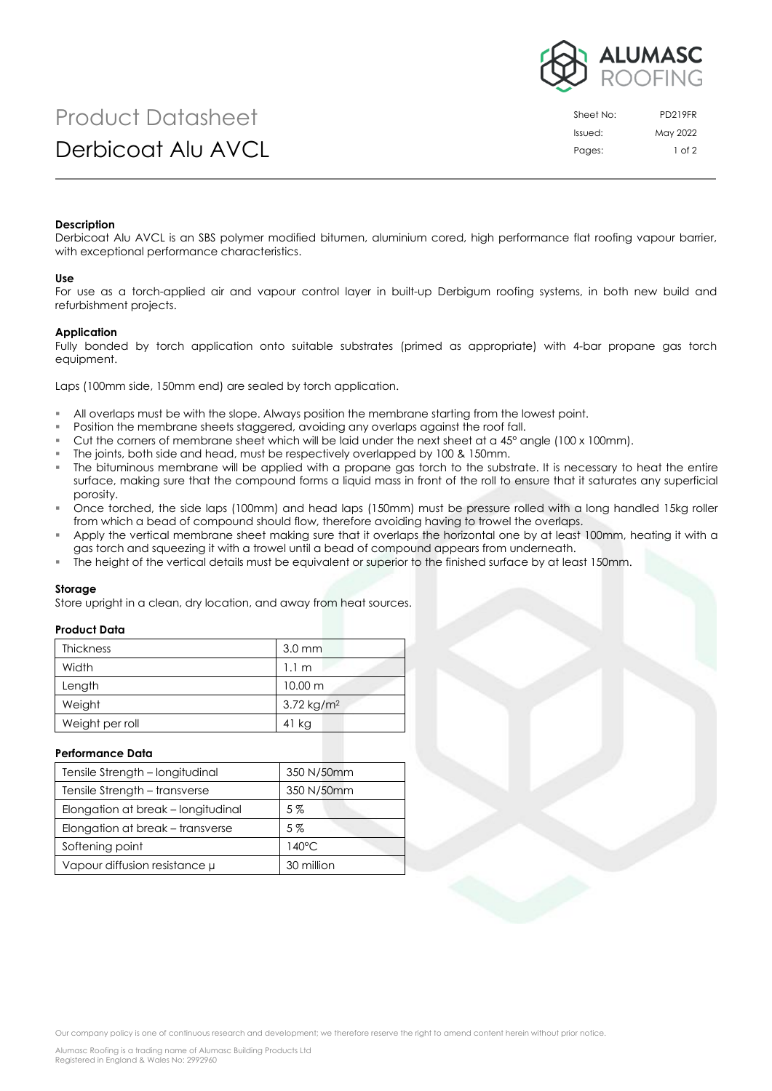

# Product Datasheet Derbicoat Alu AVCL

| Sheet No: | <b>PD219FR</b> |
|-----------|----------------|
| Issued:   | May 2022       |
| Pages:    | $1$ of $2$     |

### **Description**

Derbicoat Alu AVCL is an SBS polymer modified bitumen, aluminium cored, high performance flat roofing vapour barrier, with exceptional performance characteristics.

#### **Use**

For use as a torch-applied air and vapour control layer in built-up Derbigum roofing systems, in both new build and refurbishment projects.

## **Application**

Fully bonded by torch application onto suitable substrates (primed as appropriate) with 4-bar propane gas torch equipment.

Laps (100mm side, 150mm end) are sealed by torch application.

- All overlaps must be with the slope. Always position the membrane starting from the lowest point.
- Position the membrane sheets staggered, avoiding any overlaps against the roof fall.
- Cut the corners of membrane sheet which will be laid under the next sheet at a  $45^{\circ}$  angle (100 x 100mm).
- The joints, both side and head, must be respectively overlapped by 100 & 150mm.
- The bituminous membrane will be applied with a propane gas torch to the substrate. It is necessary to heat the entire surface, making sure that the compound forms a liquid mass in front of the roll to ensure that it saturates any superficial porosity.
- Once torched, the side laps (100mm) and head laps (150mm) must be pressure rolled with a long handled 15kg roller from which a bead of compound should flow, therefore avoiding having to trowel the overlaps.
- Apply the vertical membrane sheet making sure that it overlaps the horizontal one by at least 100mm, heating it with a gas torch and squeezing it with a trowel until a bead of compound appears from underneath.
- The height of the vertical details must be equivalent or superior to the finished surface by at least 150mm.

#### **Storage**

Store upright in a clean, dry location, and away from heat sources.

## **Product Data**

| <b>Thickness</b> | $3.0$ mm                 |
|------------------|--------------------------|
| Width            | 1.1 m                    |
| Length           | $10.00 \text{ m}$        |
| Weight           | $3.72$ kg/m <sup>2</sup> |
| Weight per roll  | 41 kg                    |

### **Performance Data**

| Tensile Strength - longitudinal    | 350 N/50mm      |
|------------------------------------|-----------------|
| Tensile Strength - transverse      | 350 N/50mm      |
| Elongation at break - longitudinal | $5\%$           |
| Elongation at break – transverse   | $5\%$           |
| Softening point                    | $140^{\circ}$ C |
| Vapour diffusion resistance µ      | 30 million      |

Our company policy is one of continuous research and development; we therefore reserve the right to amend content herein without prior notice.